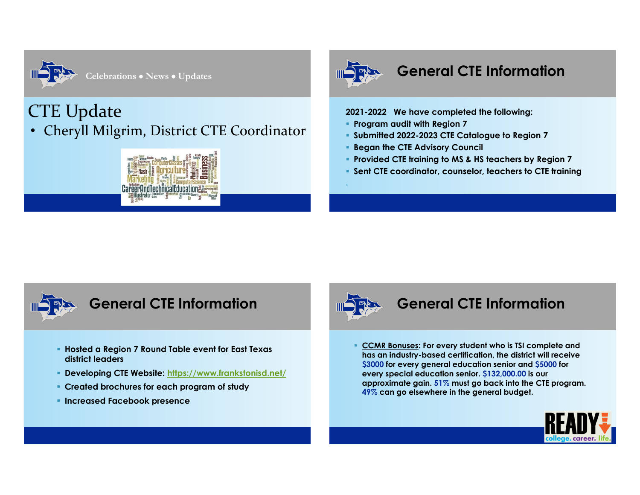

**Celebrations** x **News** x **Updates**

# CTE Update Cheryll Milgrim, District CTE Coordinator





# **General CTE Information**

### **2021-2022 We have completed the following:**

- **Program audit with Region 7**
- **Submitted 2022-2023 CTE Catalogue to Region 7**
- **Began the CTE Advisory Council**
- **Provided CTE training to MS & HS teachers by Region 7**
- **Sent CTE coordinator, counselor, teachers to CTE training**



- **Hosted a Region 7 Round Table event for East Texas district leaders**
- **Developing CTE Website: https://www.frankstonisd.net/**
- **Created brochures for each program of study**
- **Increased Facebook presence**



# **General CTE Information**

 **CCMR Bonuses: For every student who is TSI complete and has an industry-based certification, the district will receive \$3000 for every general education senior and \$5000 for every special education senior. \$132,000.00 is our approximate gain. 51% must go back into the CTE program. 49% can go elsewhere in the general budget.**

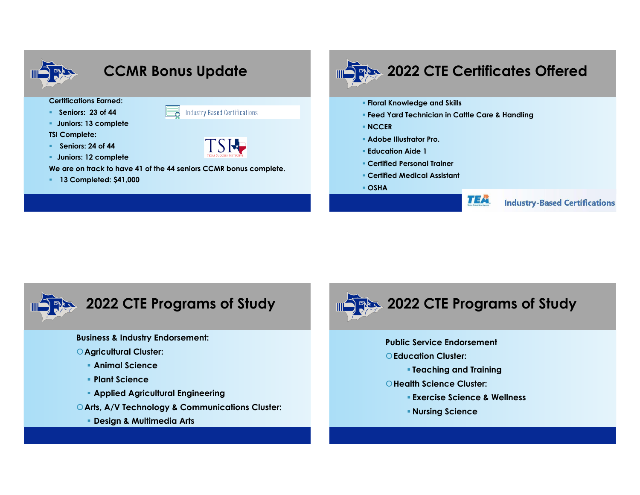



**Business & Industry Endorsement:**

- |**Agricultural Cluster:**
	- **Animal Science**
	- **Plant Science**
	- **Applied Agricultural Engineering**
- |**Arts, A/V Technology & Communications Cluster:**
	- **Design & Multimedia Arts**



- **Public Service Endorsement**
- |**Education Cluster:**
	- **Teaching and Training**
- |**Health Science Cluster:**
	- **Exercise Science & Wellness**
	- **Nursing Science**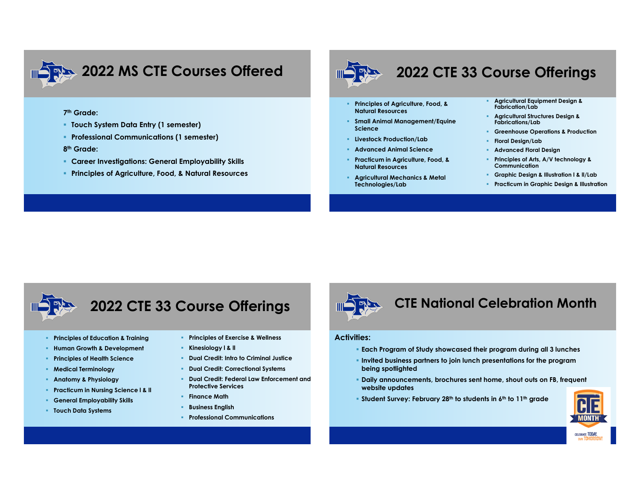

# **2022 MS CTE Courses Offered**

### **7th Grade:**

- **Touch System Data Entry (1 semester)**
- **Professional Communications (1 semester)**

### **8th Grade:**

- **Career Investigations: General Employability Skills**
- **Principles of Agriculture, Food, & Natural Resources**



# **2022 CTE 33 Course Offerings**

- **Principles of Agriculture, Food, & Natural Resources**
- **Small Animal Management/Equine Science**
- **Livestock Production/Lab**
- **Advanced Animal Science**
- **Practicum in Agriculture, Food, & Natural Resources**
- **Agricultural Mechanics & Metal Technologies/Lab**
- **Agricultural Equipment Design & Fabrication/Lab**
- **Agricultural Structures Design & Fabrications/Lab**
- **Greenhouse Operations & Production**
- **Floral Design/Lab**
- **Advanced Floral Design**
- **Principles of Arts, A/V technology & Communication**
- **Graphic Design & Illustration l & ll/Lab**
- **Practicum in Graphic Design & Illustration**



# **2022 CTE 33 Course Offerings**

- **Principles of Education & Training**
- **Human Growth & Development**
- **Principles of Health Science**
- **Medical Terminology**
- **Anatomy & Physiology**
- **Practicum in Nursing Science l & ll**
- **General Employability Skills**
- **Touch Data Systems**
- **Principles of Exercise & Wellness**
- **Kinesiology l & ll**
- **Dual Credit: Intro to Criminal Justice**
- **P** Dual Credit: Correctional Systems
- **Dual Credit: Federal Law Enforcement and Protective Services**
- **Finance Math**
- **Business English**
- **Professional Communications**



### **CTE National Celebration Month**

### **Activities:**

- **Each Program of Study showcased their program during all 3 lunches**
- **Invited business partners to join lunch presentations for the program being spotlighted**
- **Daily announcements, brochures sent home, shout outs on FB, frequent website updates**
- **Student Survey: February 28th to students in 6th to 11th grade**